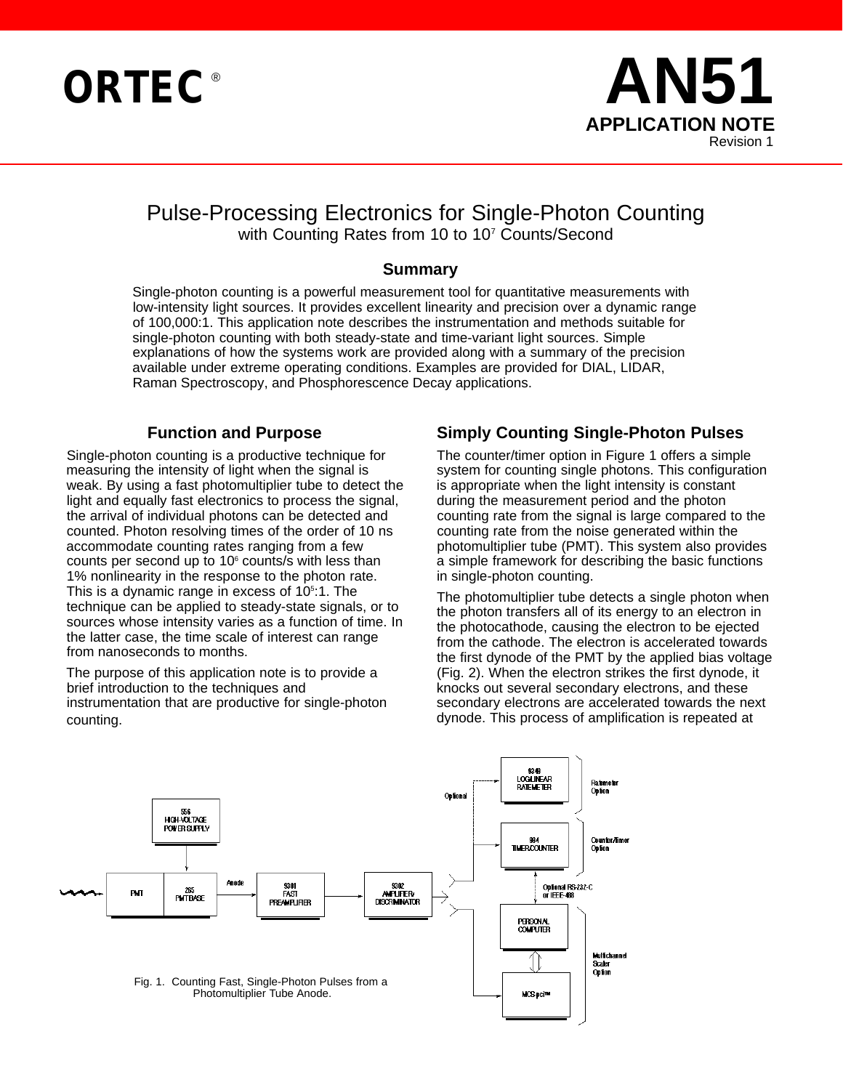



# Pulse-Processing Electronics for Single-Photon Counting with Counting Rates from 10 to 10<sup>7</sup> Counts/Second

#### **Summary**

Single-photon counting is a powerful measurement tool for quantitative measurements with low-intensity light sources. It provides excellent linearity and precision over a dynamic range of 100,000:1. This application note describes the instrumentation and methods suitable for single-photon counting with both steady-state and time-variant light sources. Simple explanations of how the systems work are provided along with a summary of the precision available under extreme operating conditions. Examples are provided for DIAL, LIDAR, Raman Spectroscopy, and Phosphorescence Decay applications.

#### **Function and Purpose**

Single-photon counting is a productive technique for measuring the intensity of light when the signal is weak. By using a fast photomultiplier tube to detect the light and equally fast electronics to process the signal, the arrival of individual photons can be detected and counted. Photon resolving times of the order of 10 ns accommodate counting rates ranging from a few counts per second up to  $10<sup>6</sup>$  counts/s with less than 1% nonlinearity in the response to the photon rate. This is a dynamic range in excess of 10<sup>5</sup>:1. The technique can be applied to steady-state signals, or to sources whose intensity varies as a function of time. In the latter case, the time scale of interest can range from nanoseconds to months.

The purpose of this application note is to provide a brief introduction to the techniques and instrumentation that are productive for single-photon counting.

### **Simply Counting Single-Photon Pulses**

The counter/timer option in Figure 1 offers a simple system for counting single photons. This configuration is appropriate when the light intensity is constant during the measurement period and the photon counting rate from the signal is large compared to the counting rate from the noise generated within the photomultiplier tube (PMT). This system also provides a simple framework for describing the basic functions in single-photon counting.

The photomultiplier tube detects a single photon when the photon transfers all of its energy to an electron in the photocathode, causing the electron to be ejected from the cathode. The electron is accelerated towards the first dynode of the PMT by the applied bias voltage (Fig. 2). When the electron strikes the first dynode, it knocks out several secondary electrons, and these secondary electrons are accelerated towards the next dynode. This process of amplification is repeated at

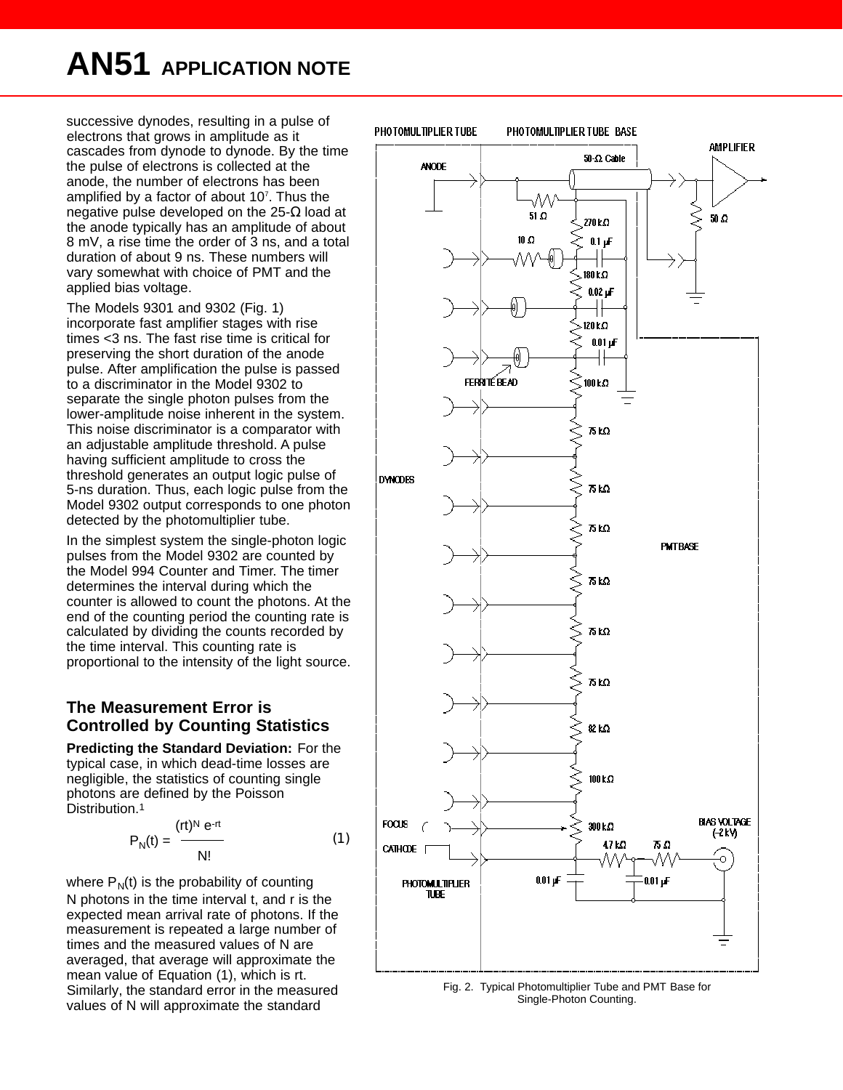# **AN51 APPLICATION NOTE**

successive dynodes, resulting in a pulse of electrons that grows in amplitude as it cascades from dynode to dynode. By the time the pulse of electrons is collected at the anode, the number of electrons has been amplified by a factor of about 10<sup>7</sup>. Thus the negative pulse developed on the 25- load at the anode typically has an amplitude of about 8 mV, a rise time the order of 3 ns, and a total duration of about 9 ns. These numbers will vary somewhat with choice of PMT and the applied bias voltage.

The Models 9301 and 9302 (Fig. 1) incorporate fast amplifier stages with rise times <3 ns. The fast rise time is critical for preserving the short duration of the anode pulse. After amplification the pulse is passed to a discriminator in the Model 9302 to separate the single photon pulses from the lower-amplitude noise inherent in the system. This noise discriminator is a comparator with an adjustable amplitude threshold. A pulse having sufficient amplitude to cross the threshold generates an output logic pulse of 5-ns duration. Thus, each logic pulse from the Model 9302 output corresponds to one photon detected by the photomultiplier tube.

In the simplest system the single-photon logic pulses from the Model 9302 are counted by the Model 994 Counter and Timer. The timer determines the interval during which the counter is allowed to count the photons. At the end of the counting period the counting rate is calculated by dividing the counts recorded by the time interval. This counting rate is proportional to the intensity of the light source.

#### **The Measurement Error is Controlled by Counting Statistics**

**Predicting the Standard Deviation:** For the typical case, in which dead-time losses are negligible, the statistics of counting single photons are defined by the Poisson Distribution.<sup>1</sup>

$$
P_N(t) = \frac{(rt)^N e^{-rt}}{N!}
$$
 (1)

where  $P_N(t)$  is the probability of counting N photons in the time interval t, and r is the expected mean arrival rate of photons. If the measurement is repeated a large number of times and the measured values of N are averaged, that average will approximate the mean value of Equation (1), which is rt. Similarly, the standard error in the measured values of N will approximate the standard



Fig. 2. Typical Photomultiplier Tube and PMT Base for Single-Photon Counting.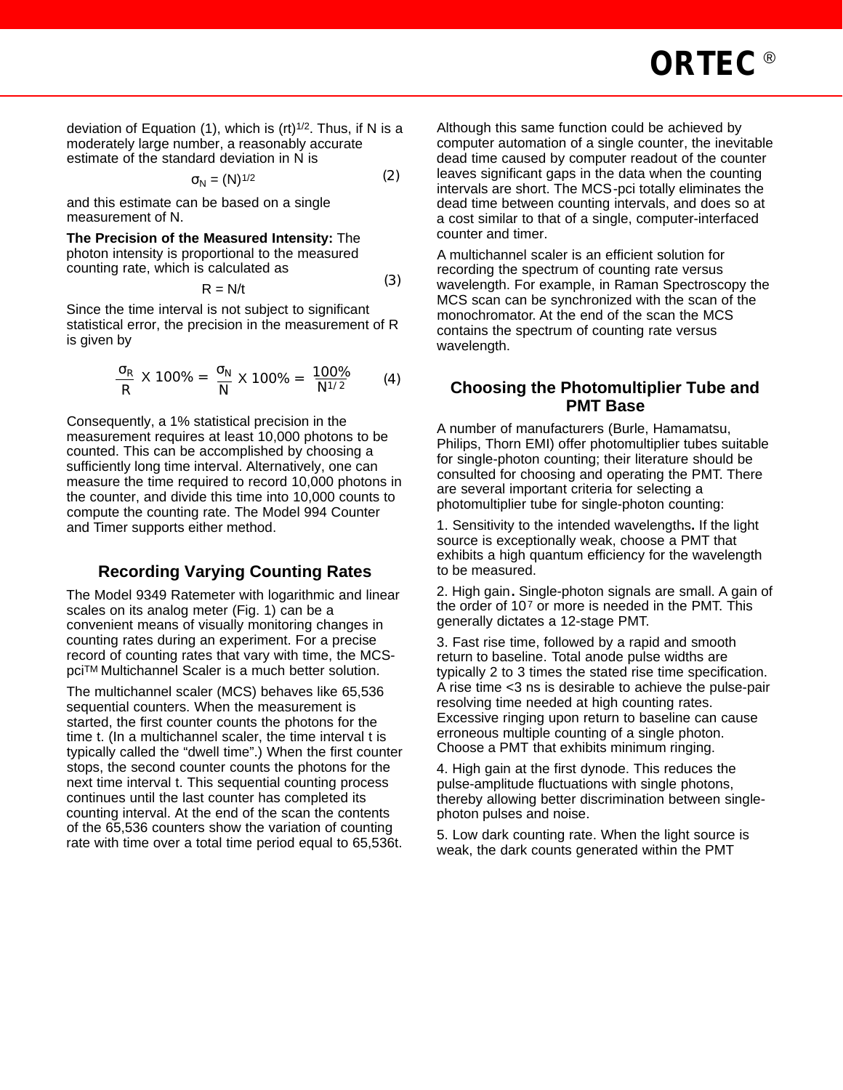deviation of Equation (1), which is (rt) $1/2$ . Thus, if N is a moderately large number, a reasonably accurate estimate of the standard deviation in N is

$$
N = (N)^{1/2} \tag{2}
$$

and this estimate can be based on a single measurement of N.

**The Precision of the Measured Intensity:** The photon intensity is proportional to the measured counting rate, which is calculated as

$$
R = N/t
$$
 (3)

 $(9)$ 

Since the time interval is not subject to significant statistical error, the precision in the measurement of R is given by

$$
\frac{R}{R} \times 100\% = \frac{N}{N} \times 100\% = \frac{100\%}{N^{1/2}}
$$
 (4)

Consequently, a 1% statistical precision in the measurement requires at least 10,000 photons to be counted. This can be accomplished by choosing a sufficiently long time interval. Alternatively, one can measure the time required to record 10,000 photons in the counter, and divide this time into 10,000 counts to compute the counting rate. The Model 994 Counter and Timer supports either method.

# **Recording Varying Counting Rates**

The Model 9349 Ratemeter with logarithmic and linear scales on its analog meter (Fig. 1) can be a convenient means of visually monitoring changes in counting rates during an experiment. For a precise record of counting rates that vary with time, the MCSpciTM Multichannel Scaler is a much better solution.

The multichannel scaler (MCS) behaves like 65,536 sequential counters. When the measurement is started, the first counter counts the photons for the time t. (In a multichannel scaler, the time interval t is typically called the "dwell time".) When the first counter stops, the second counter counts the photons for the next time interval t. This sequential counting process continues until the last counter has completed its counting interval. At the end of the scan the contents of the 65,536 counters show the variation of counting rate with time over a total time period equal to 65,536t.

Although this same function could be achieved by computer automation of a single counter, the inevitable dead time caused by computer readout of the counter leaves significant gaps in the data when the counting intervals are short. The MCS-pci totally eliminates the dead time between counting intervals, and does so at a cost similar to that of a single, computer-interfaced counter and timer.

A multichannel scaler is an efficient solution for recording the spectrum of counting rate versus wavelength. For example, in Raman Spectroscopy the MCS scan can be synchronized with the scan of the monochromator. At the end of the scan the MCS contains the spectrum of counting rate versus wavelength.

#### **Choosing the Photomultiplier Tube and PMT Base**

A number of manufacturers (Burle, Hamamatsu, Philips, Thorn EMI) offer photomultiplier tubes suitable for single-photon counting; their literature should be consulted for choosing and operating the PMT. There are several important criteria for selecting a photomultiplier tube for single-photon counting:

1. Sensitivity to the intended wavelengths**.** If the light source is exceptionally weak, choose a PMT that exhibits a high quantum efficiency for the wavelength to be measured.

2. High gain**.** Single-photon signals are small. A gain of the order of 10<sup>7</sup> or more is needed in the PMT. This generally dictates a 12-stage PMT.

3. Fast rise time, followed by a rapid and smooth return to baseline. Total anode pulse widths are typically 2 to 3 times the stated rise time specification. A rise time <3 ns is desirable to achieve the pulse-pair resolving time needed at high counting rates. Excessive ringing upon return to baseline can cause erroneous multiple counting of a single photon. Choose a PMT that exhibits minimum ringing.

4. High gain at the first dynode. This reduces the pulse-amplitude fluctuations with single photons, thereby allowing better discrimination between singlephoton pulses and noise.

5. Low dark counting rate. When the light source is weak, the dark counts generated within the PMT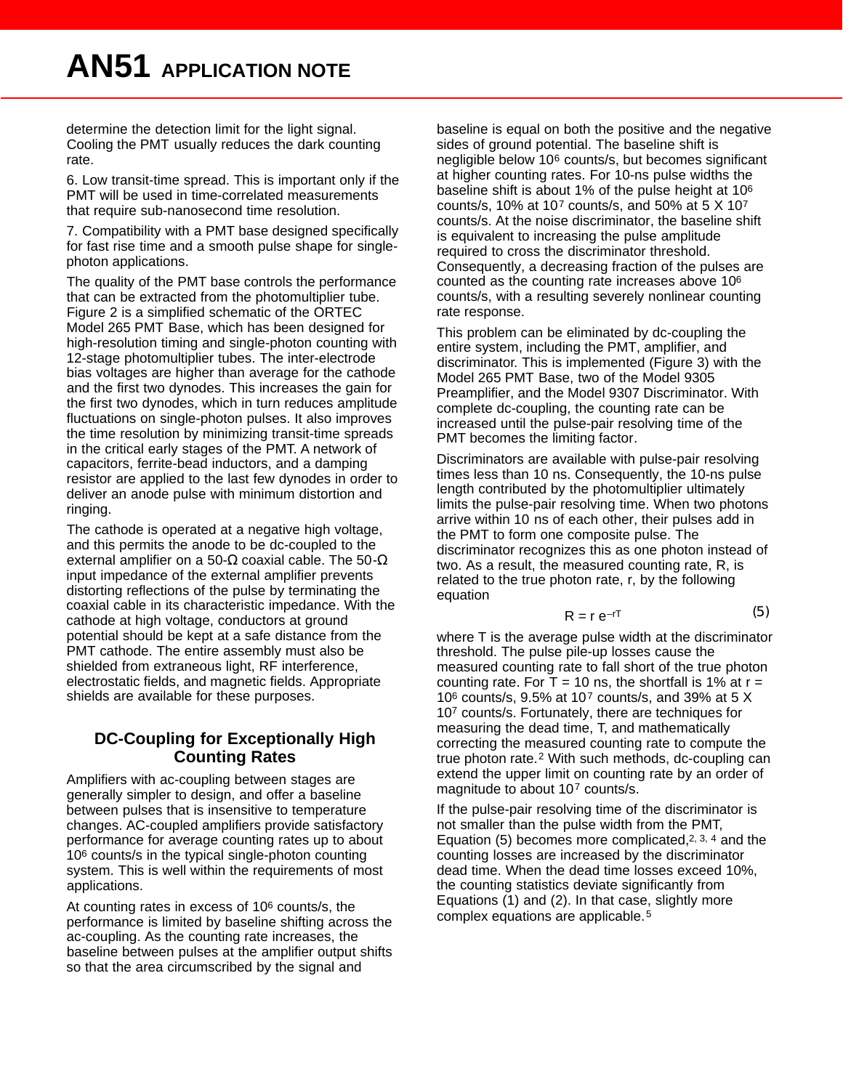determine the detection limit for the light signal. Cooling the PMT usually reduces the dark counting rate.

6. Low transit-time spread. This is important only if the PMT will be used in time-correlated measurements that require sub-nanosecond time resolution.

7. Compatibility with a PMT base designed specifically for fast rise time and a smooth pulse shape for singlephoton applications.

The quality of the PMT base controls the performance that can be extracted from the photomultiplier tube. Figure 2 is a simplified schematic of the ORTEC Model 265 PMT Base, which has been designed for high-resolution timing and single-photon counting with 12-stage photomultiplier tubes. The inter-electrode bias voltages are higher than average for the cathode and the first two dynodes. This increases the gain for the first two dynodes, which in turn reduces amplitude fluctuations on single-photon pulses. It also improves the time resolution by minimizing transit-time spreads in the critical early stages of the PMT. A network of capacitors, ferrite-bead inductors, and a damping resistor are applied to the last few dynodes in order to deliver an anode pulse with minimum distortion and ringing.

The cathode is operated at a negative high voltage, and this permits the anode to be dc-coupled to the external amplifier on a 50- coaxial cable. The 50 input impedance of the external amplifier prevents distorting reflections of the pulse by terminating the coaxial cable in its characteristic impedance. With the cathode at high voltage, conductors at ground potential should be kept at a safe distance from the PMT cathode. The entire assembly must also be shielded from extraneous light, RF interference, electrostatic fields, and magnetic fields. Appropriate shields are available for these purposes.

### **DC-Coupling for Exceptionally High Counting Rates**

Amplifiers with ac-coupling between stages are generally simpler to design, and offer a baseline between pulses that is insensitive to temperature changes. AC-coupled amplifiers provide satisfactory performance for average counting rates up to about 10<sup>6</sup> counts/s in the typical single-photon counting system. This is well within the requirements of most applications.

At counting rates in excess of 10<sup>6</sup> counts/s, the performance is limited by baseline shifting across the ac-coupling. As the counting rate increases, the baseline between pulses at the amplifier output shifts so that the area circumscribed by the signal and

baseline is equal on both the positive and the negative sides of ground potential. The baseline shift is negligible below 10<sup>6</sup> counts/s, but becomes significant at higher counting rates. For 10-ns pulse widths the baseline shift is about 1% of the pulse height at 10<sup>6</sup> counts/s, 10% at 10<sup>7</sup> counts/s, and 50% at 5 X 10<sup>7</sup> counts/s. At the noise discriminator, the baseline shift is equivalent to increasing the pulse amplitude required to cross the discriminator threshold. Consequently, a decreasing fraction of the pulses are counted as the counting rate increases above 10<sup>6</sup> counts/s, with a resulting severely nonlinear counting rate response.

This problem can be eliminated by dc-coupling the entire system, including the PMT, amplifier, and discriminator. This is implemented (Figure 3) with the Model 265 PMT Base, two of the Model 9305 Preamplifier, and the Model 9307 Discriminator. With complete dc-coupling, the counting rate can be increased until the pulse-pair resolving time of the PMT becomes the limiting factor.

Discriminators are available with pulse-pair resolving times less than 10 ns. Consequently, the 10-ns pulse length contributed by the photomultiplier ultimately limits the pulse-pair resolving time. When two photons arrive within 10 ns of each other, their pulses add in the PMT to form one composite pulse. The discriminator recognizes this as one photon instead of two. As a result, the measured counting rate, R, is related to the true photon rate, r, by the following equation

$$
R = r e^{-rT} \tag{5}
$$

where T is the average pulse width at the discriminator threshold. The pulse pile-up losses cause the measured counting rate to fall short of the true photon counting rate. For T = 10 ns, the shortfall is 1% at  $r =$ 10<sup>6</sup> counts/s, 9.5% at 10<sup>7</sup> counts/s, and 39% at 5 X 10<sup>7</sup> counts/s. Fortunately, there are techniques for measuring the dead time, T, and mathematically correcting the measured counting rate to compute the true photon rate.<sup>2</sup> With such methods, dc-coupling can extend the upper limit on counting rate by an order of magnitude to about 10<sup>7</sup> counts/s.

If the pulse-pair resolving time of the discriminator is not smaller than the pulse width from the PMT, Equation (5) becomes more complicated,  $2, 3, 4$  and the counting losses are increased by the discriminator dead time. When the dead time losses exceed 10%, the counting statistics deviate significantly from Equations (1) and (2). In that case, slightly more complex equations are applicable.<sup>5</sup>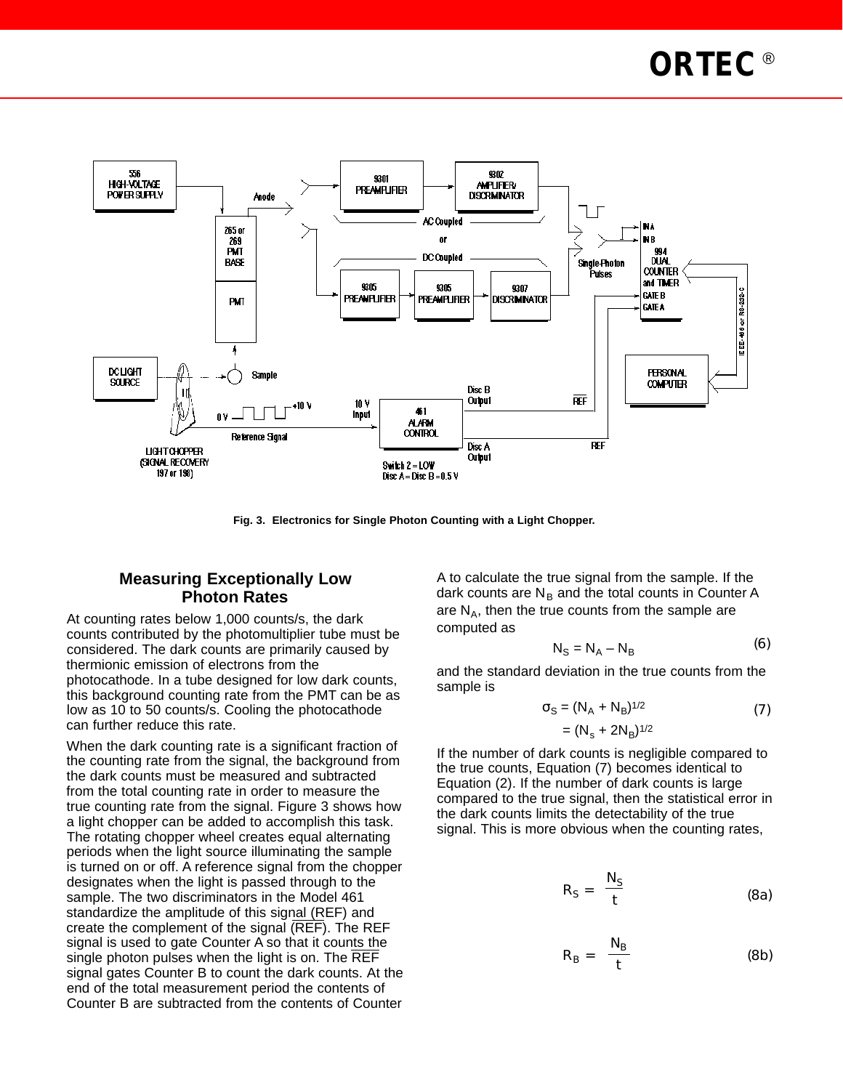

**Fig. 3. Electronics for Single Photon Counting with a Light Chopper.**

#### **Measuring Exceptionally Low Photon Rates**

At counting rates below 1,000 counts/s, the dark counts contributed by the photomultiplier tube must be considered. The dark counts are primarily caused by thermionic emission of electrons from the photocathode. In a tube designed for low dark counts, this background counting rate from the PMT can be as low as 10 to 50 counts/s. Cooling the photocathode can further reduce this rate.

When the dark counting rate is a significant fraction of the counting rate from the signal, the background from the dark counts must be measured and subtracted from the total counting rate in order to measure the true counting rate from the signal. Figure 3 shows how a light chopper can be added to accomplish this task. The rotating chopper wheel creates equal alternating periods when the light source illuminating the sample is turned on or off. A reference signal from the chopper designates when the light is passed through to the sample. The two discriminators in the Model 461 standardize the amplitude of this signal (REF) and create the complement of the signal (REF). The REF signal is used to gate Counter A so that it counts the single photon pulses when the light is on. The REF signal gates Counter B to count the dark counts. At the end of the total measurement period the contents of Counter B are subtracted from the contents of Counter

A to calculate the true signal from the sample. If the dark counts are  $N_B$  and the total counts in Counter A are  $N_A$ , then the true counts from the sample are computed as

$$
N_S = N_A - N_B \tag{6}
$$

and the standard deviation in the true counts from the sample is

$$
S = (N_A + N_B)^{1/2}
$$
 (7)

$$
= (N_s + 2N_B)^{1/2}
$$

If the number of dark counts is negligible compared to the true counts, Equation (7) becomes identical to Equation (2). If the number of dark counts is large compared to the true signal, then the statistical error in the dark counts limits the detectability of the true signal. This is more obvious when the counting rates,

$$
R_{S} = \frac{N_{S}}{t}
$$
 (8a)

$$
R_B = \frac{N_B}{t}
$$
 (8b)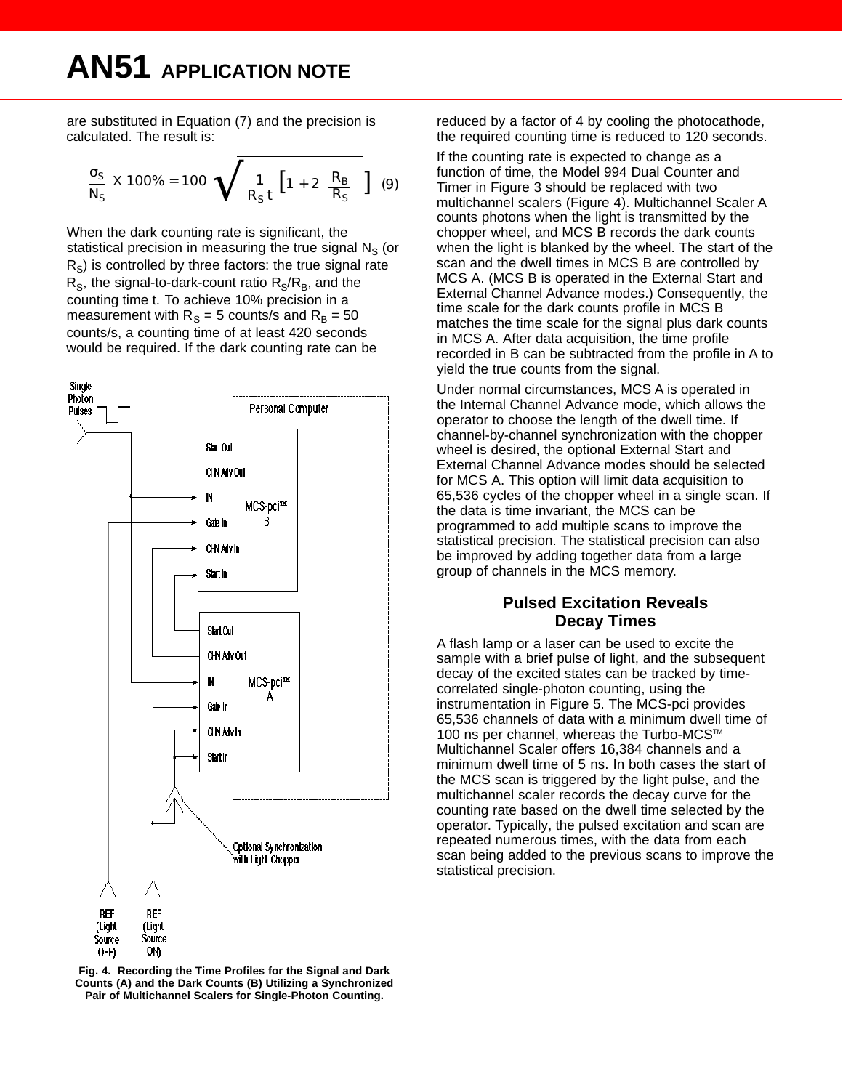# **AN51 APPLICATION NOTE**

are substituted in Equation (7) and the precision is calculated. The result is:

$$
\frac{\rm S}{\rm N_S} \times 100\% = 100 \qquad \frac{\rm 1}{\rm R_S t} \left[1 + 2 \frac{\rm R_B}{\rm R_S} \right] \tag{9}
$$

When the dark counting rate is significant, the statistical precision in measuring the true signal  $N_S$  (or  $R<sub>S</sub>$ ) is controlled by three factors: the true signal rate  $R_S$ , the signal-to-dark-count ratio  $R_S/R_B$ , and the counting time t. To achieve 10% precision in a measurement with  $R_S = 5$  counts/s and  $R_B = 50$ counts/s, a counting time of at least 420 seconds would be required. If the dark counting rate can be



**Fig. 4. Recording the Time Profiles for the Signal and Dark Counts (A) and the Dark Counts (B) Utilizing a Synchronized Pair of Multichannel Scalers for Single-Photon Counting.**

reduced by a factor of 4 by cooling the photocathode, the required counting time is reduced to 120 seconds.

If the counting rate is expected to change as a function of time, the Model 994 Dual Counter and Timer in Figure 3 should be replaced with two multichannel scalers (Figure 4). Multichannel Scaler A counts photons when the light is transmitted by the chopper wheel, and MCS B records the dark counts when the light is blanked by the wheel. The start of the scan and the dwell times in MCS B are controlled by MCS A. (MCS B is operated in the External Start and External Channel Advance modes.) Consequently, the time scale for the dark counts profile in MCS B matches the time scale for the signal plus dark counts in MCS A. After data acquisition, the time profile recorded in B can be subtracted from the profile in A to yield the true counts from the signal.

Under normal circumstances, MCS A is operated in the Internal Channel Advance mode, which allows the operator to choose the length of the dwell time. If channel-by-channel synchronization with the chopper wheel is desired, the optional External Start and External Channel Advance modes should be selected for MCS A. This option will limit data acquisition to 65,536 cycles of the chopper wheel in a single scan. If the data is time invariant, the MCS can be programmed to add multiple scans to improve the statistical precision. The statistical precision can also be improved by adding together data from a large group of channels in the MCS memory.

#### **Pulsed Excitation Reveals Decay Times**

A flash lamp or a laser can be used to excite the sample with a brief pulse of light, and the subsequent decay of the excited states can be tracked by timecorrelated single-photon counting, using the instrumentation in Figure 5. The MCS-pci provides 65,536 channels of data with a minimum dwell time of 100 ns per channel, whereas the Turbo-MCS™ Multichannel Scaler offers 16,384 channels and a minimum dwell time of 5 ns. In both cases the start of the MCS scan is triggered by the light pulse, and the multichannel scaler records the decay curve for the counting rate based on the dwell time selected by the operator. Typically, the pulsed excitation and scan are repeated numerous times, with the data from each scan being added to the previous scans to improve the statistical precision.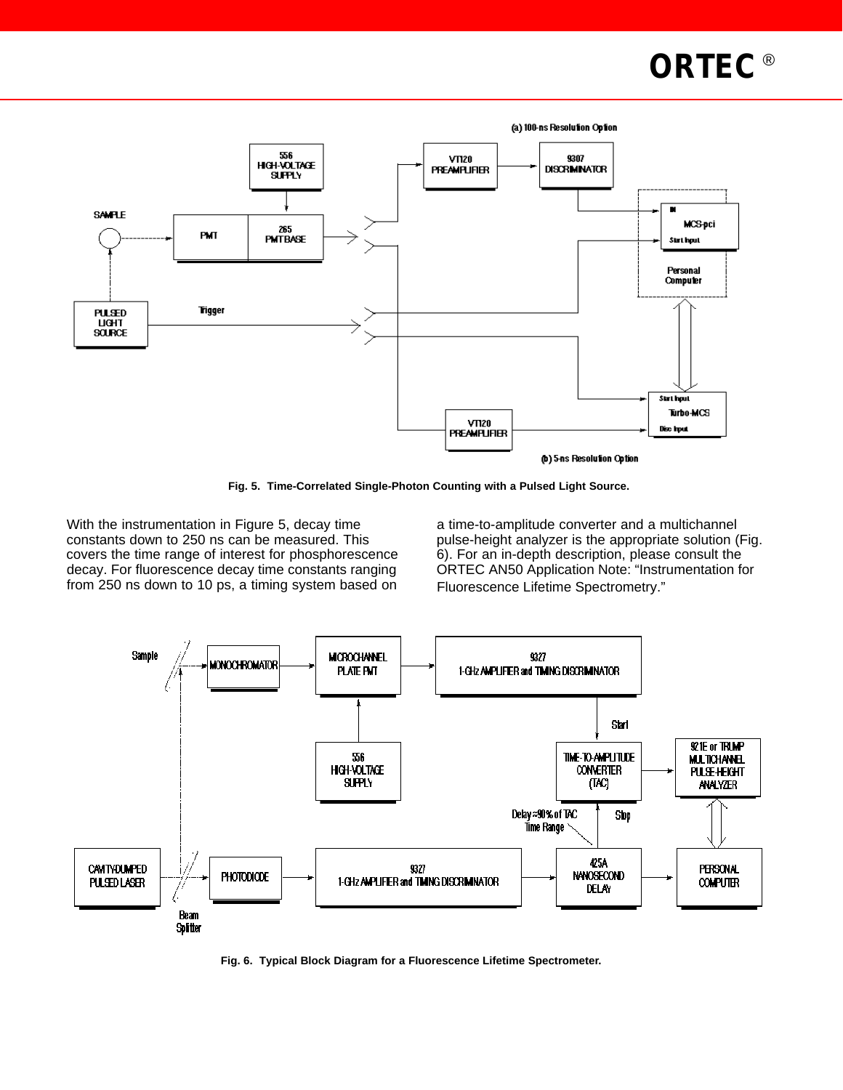



**Fig. 5. Time-Correlated Single-Photon Counting with a Pulsed Light Source.**

With the instrumentation in Figure 5, decay time constants down to 250 ns can be measured. This covers the time range of interest for phosphorescence decay. For fluorescence decay time constants ranging from 250 ns down to 10 ps, a timing system based on

a time-to-amplitude converter and a multichannel pulse-height analyzer is the appropriate solution (Fig. 6). For an in-depth description, please consult the ORTEC AN50 Application Note: "Instrumentation for Fluorescence Lifetime Spectrometry."



**Fig. 6. Typical Block Diagram for a Fluorescence Lifetime Spectrometer.**